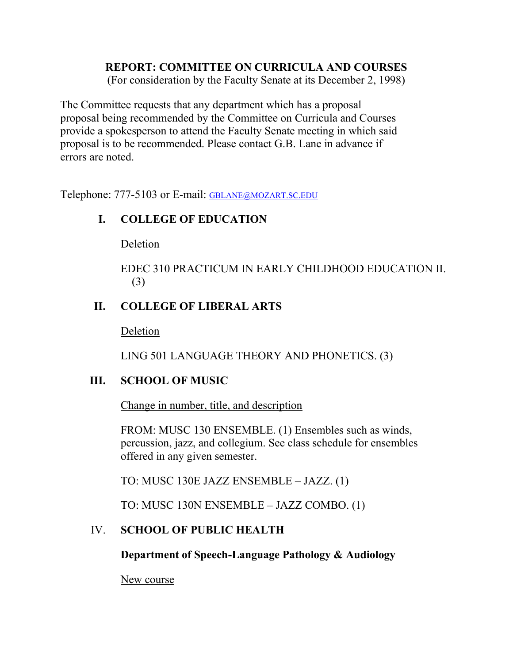## **REPORT: COMMITTEE ON CURRICULA AND COURSES**

(For consideration by the Faculty Senate at its December 2, 1998)

The Committee requests that any department which has a proposal proposal being recommended by the Committee on Curricula and Courses provide a spokesperson to attend the Faculty Senate meeting in which said proposal is to be recommended. Please contact G.B. Lane in advance if errors are noted.

Telephone: 777-5103 or E-mail: [GBLANE@MOZART.SC.EDU](mailto:GBLANE@MOZART.SC.EDU)

## **I. COLLEGE OF EDUCATION**

Deletion

EDEC 310 PRACTICUM IN EARLY CHILDHOOD EDUCATION II. (3)

## **II. COLLEGE OF LIBERAL ARTS**

Deletion

LING 501 LANGUAGE THEORY AND PHONETICS. (3)

### **III. SCHOOL OF MUSIC**

Change in number, title, and description

FROM: MUSC 130 ENSEMBLE. (1) Ensembles such as winds, percussion, jazz, and collegium. See class schedule for ensembles offered in any given semester.

TO: MUSC 130E JAZZ ENSEMBLE – JAZZ. (1)

TO: MUSC 130N ENSEMBLE – JAZZ COMBO. (1)

# IV. **SCHOOL OF PUBLIC HEALTH**

**Department of Speech-Language Pathology & Audiology**

New course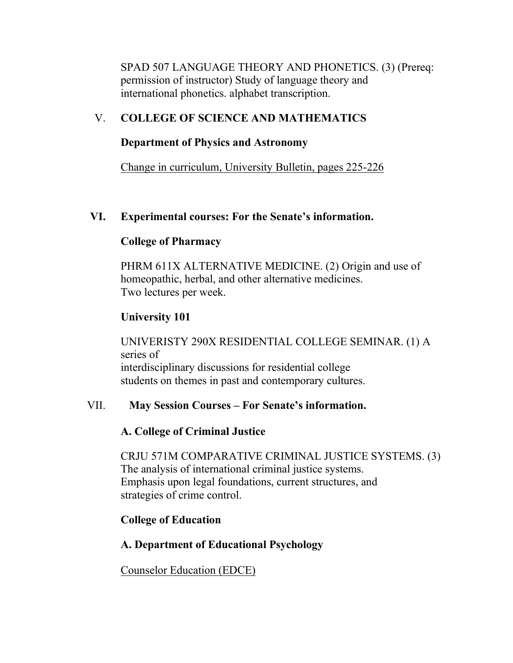SPAD 507 LANGUAGE THEORY AND PHONETICS. (3) (Prereq: permission of instructor) Study of language theory and international phonetics. alphabet transcription.

## V. **COLLEGE OF SCIENCE AND MATHEMATICS**

#### **Department of Physics and Astronomy**

Change in curriculum, University Bulletin, pages 225-226

## **VI. Experimental courses: For the Senate's information.**

### **College of Pharmacy**

PHRM 611X ALTERNATIVE MEDICINE. (2) Origin and use of homeopathic, herbal, and other alternative medicines. Two lectures per week.

# **University 101**

UNIVERISTY 290X RESIDENTIAL COLLEGE SEMINAR. (1) A series of interdisciplinary discussions for residential college students on themes in past and contemporary cultures.

### VII. **May Session Courses – For Senate's information.**

# **A. College of Criminal Justice**

CRJU 571M COMPARATIVE CRIMINAL JUSTICE SYSTEMS. (3) The analysis of international criminal justice systems. Emphasis upon legal foundations, current structures, and strategies of crime control.

# **College of Education**

# **A. Department of Educational Psychology**

Counselor Education (EDCE)